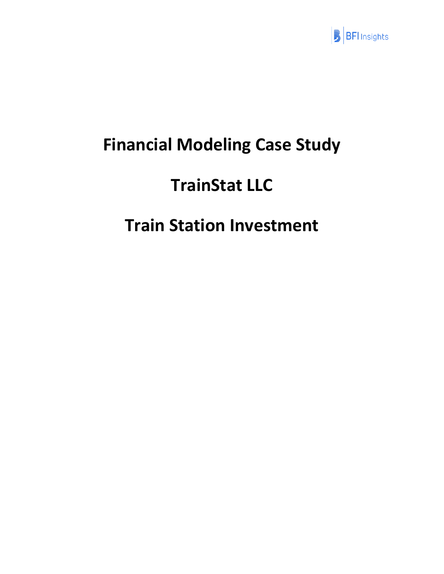

# **Financial Modeling Case Study**

# **TrainStat LLC**

# **Train Station Investment**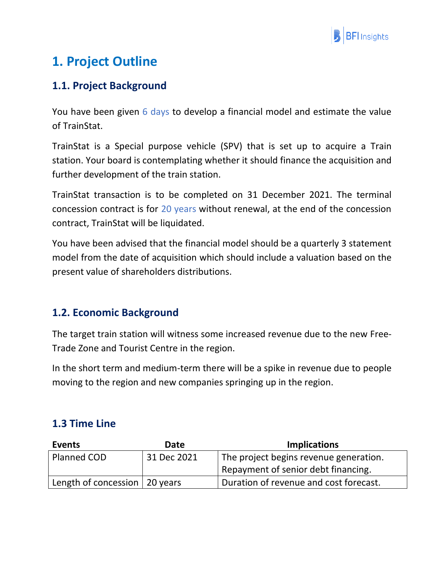

# **1. Project Outline**

## **1.1. Project Background**

You have been given 6 days to develop a financial model and estimate the value of TrainStat.

TrainStat is a Special purpose vehicle (SPV) that is set up to acquire a Train station. Your board is contemplating whether it should finance the acquisition and further development of the train station.

TrainStat transaction is to be completed on 31 December 2021. The terminal concession contract is for 20 years without renewal, at the end of the concession contract, TrainStat will be liquidated.

You have been advised that the financial model should be a quarterly 3 statement model from the date of acquisition which should include a valuation based on the present value of shareholders distributions.

### **1.2. Economic Background**

The target train station will witness some increased revenue due to the new Free-Trade Zone and Tourist Centre in the region.

In the short term and medium-term there will be a spike in revenue due to people moving to the region and new companies springing up in the region.

### **1.3 Time Line**

| Events                          | <b>Date</b> | <b>Implications</b>                    |
|---------------------------------|-------------|----------------------------------------|
| Planned COD                     | 31 Dec 2021 | The project begins revenue generation. |
|                                 |             | Repayment of senior debt financing.    |
| Length of concession   20 years |             | Duration of revenue and cost forecast. |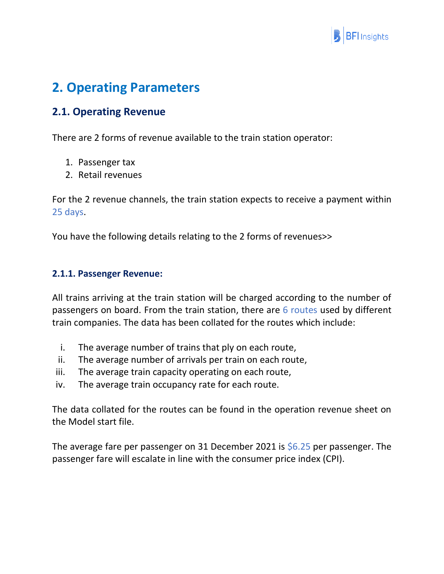

## **2. Operating Parameters**

### **2.1. Operating Revenue**

There are 2 forms of revenue available to the train station operator:

- 1. Passenger tax
- 2. Retail revenues

For the 2 revenue channels, the train station expects to receive a payment within 25 days.

You have the following details relating to the 2 forms of revenues>>

#### **2.1.1. Passenger Revenue:**

All trains arriving at the train station will be charged according to the number of passengers on board. From the train station, there are 6 routes used by different train companies. The data has been collated for the routes which include:

- i. The average number of trains that ply on each route,
- ii. The average number of arrivals per train on each route,
- iii. The average train capacity operating on each route,
- iv. The average train occupancy rate for each route.

The data collated for the routes can be found in the operation revenue sheet on the Model start file.

The average fare per passenger on 31 December 2021 is  $$6.25$  per passenger. The passenger fare will escalate in line with the consumer price index (CPI).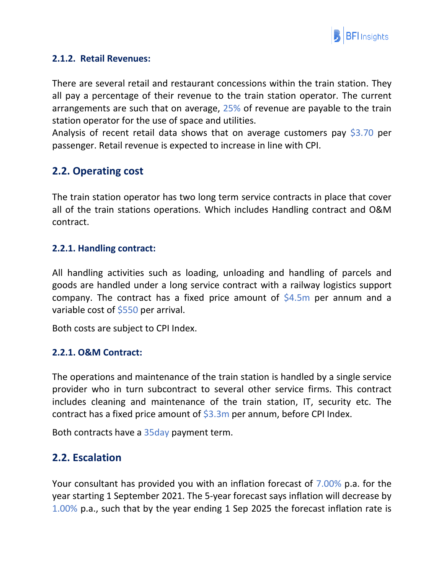

#### **2.1.2. Retail Revenues:**

There are several retail and restaurant concessions within the train station. They all pay a percentage of their revenue to the train station operator. The current arrangements are such that on average, 25% of revenue are payable to the train station operator for the use of space and utilities.

Analysis of recent retail data shows that on average customers pay \$3.70 per passenger. Retail revenue is expected to increase in line with CPI.

### **2.2. Operating cost**

The train station operator has two long term service contracts in place that cover all of the train stations operations. Which includes Handling contract and O&M contract.

#### **2.2.1. Handling contract:**

All handling activities such as loading, unloading and handling of parcels and goods are handled under a long service contract with a railway logistics support company. The contract has a fixed price amount of  $$4.5m$  per annum and a variable cost of \$550 per arrival.

Both costs are subject to CPI Index.

#### **2.2.1. O&M Contract:**

The operations and maintenance of the train station is handled by a single service provider who in turn subcontract to several other service firms. This contract includes cleaning and maintenance of the train station, IT, security etc. The contract has a fixed price amount of  $$3.3m$  per annum, before CPI Index.

Both contracts have a 35day payment term.

#### **2.2. Escalation**

Your consultant has provided you with an inflation forecast of 7.00% p.a. for the year starting 1 September 2021. The 5-year forecast says inflation will decrease by 1.00% p.a., such that by the year ending 1 Sep 2025 the forecast inflation rate is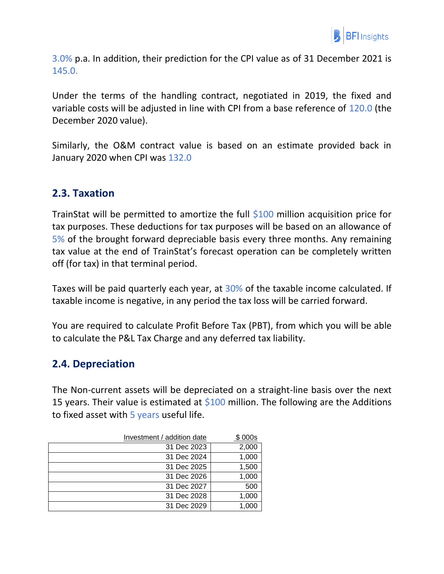

3.0% p.a. In addition, their prediction for the CPI value as of 31 December 2021 is 145.0.

Under the terms of the handling contract, negotiated in 2019, the fixed and variable costs will be adjusted in line with CPI from a base reference of 120.0 (the December 2020 value).

Similarly, the O&M contract value is based on an estimate provided back in January 2020 when CPI was 132.0

#### **2.3. Taxation**

TrainStat will be permitted to amortize the full  $$100$  million acquisition price for tax purposes. These deductions for tax purposes will be based on an allowance of 5% of the brought forward depreciable basis every three months. Any remaining tax value at the end of TrainStat's forecast operation can be completely written off (for tax) in that terminal period.

Taxes will be paid quarterly each year, at 30% of the taxable income calculated. If taxable income is negative, in any period the tax loss will be carried forward.

You are required to calculate Profit Before Tax (PBT), from which you will be able to calculate the P&L Tax Charge and any deferred tax liability.

#### **2.4. Depreciation**

The Non-current assets will be depreciated on a straight-line basis over the next 15 years. Their value is estimated at  $$100$  million. The following are the Additions to fixed asset with  $5$  years useful life.

| Investment / addition date | \$000s |
|----------------------------|--------|
| 31 Dec 2023                | 2,000  |
| 31 Dec 2024                | 1,000  |
| 31 Dec 2025                | 1,500  |
| 31 Dec 2026                | 1,000  |
| 31 Dec 2027                | 500    |
| 31 Dec 2028                | 1,000  |
| 31 Dec 2029                | 1,000  |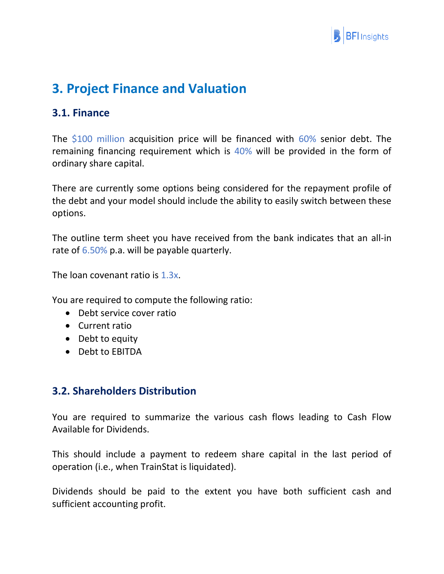

## **3. Project Finance and Valuation**

### **3.1. Finance**

The \$100 million acquisition price will be financed with 60% senior debt. The remaining financing requirement which is 40% will be provided in the form of ordinary share capital.

There are currently some options being considered for the repayment profile of the debt and your model should include the ability to easily switch between these options.

The outline term sheet you have received from the bank indicates that an all-in rate of 6.50% p.a. will be payable quarterly.

The loan covenant ratio is 1.3x.

You are required to compute the following ratio:

- Debt service cover ratio
- Current ratio
- Debt to equity
- Debt to EBITDA

#### **3.2. Shareholders Distribution**

You are required to summarize the various cash flows leading to Cash Flow Available for Dividends.

This should include a payment to redeem share capital in the last period of operation (i.e., when TrainStat is liquidated).

Dividends should be paid to the extent you have both sufficient cash and sufficient accounting profit.